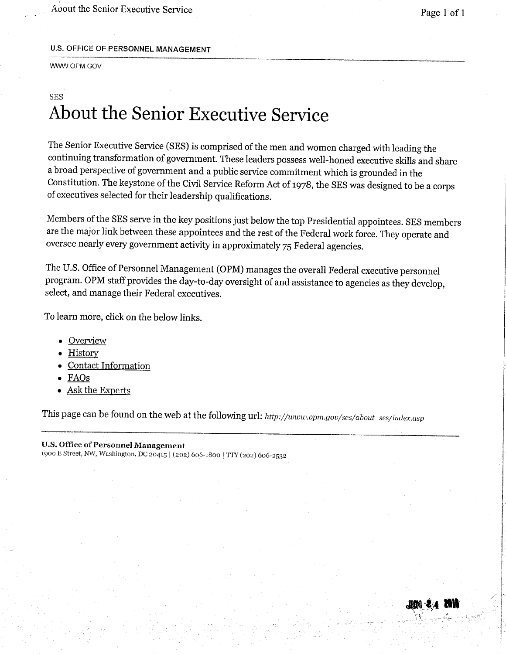, About the Senior Executive Service Page 1 of 1

#### U.S. OFFICE OF PERSONNEL MANAGEMENT

WWW.OPM.GOV

### SES About the Senior Executive Service

The Senior Executive Service (SES) is comprised of the men and women charged with leading the continuing transformation of government. These leaders possess well-honed executive skils and share a broad perspective of government and a public service commitment which is grounded in the Constitution. The keystone of the Civil Service Reform Act of 1978, the SES was designed to be a corps of executives selected for their leadership qualifications.

Members of the SES serve in the key positions just below the top Presidential appointees. SES members are the major link between these appointees and the rest of the Federal work force. They operate and oversee nearly every government activity in approximately 75 Federal agencies.

The U.S. Office of Personnel Management (OPM) manages the overall Federal executive personnel program. OPM staff provides the day-to-day oversight of and assistance to agencies as they develop, select, and manage their Federal executives.

To learn more, click on the below links.

- . Overview
- . History
- . Contact Information
- . FAGs
- Ask the Experts

This page can be found on the web at the following url: http://www.opm.gov/ses/about\_ses/index.asp

#### U.S. Office of Personnel Management

1900 E Street, NW, Washington. DC 20415 I (202) 606-1800 I Try (202) 606-2532

/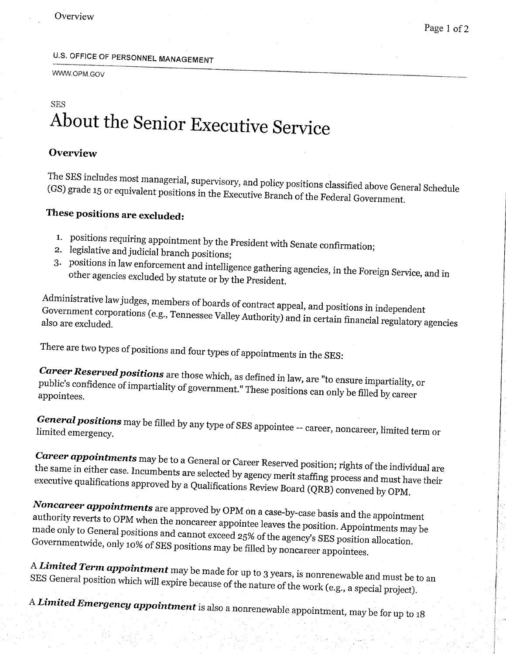## U.S. OFFICE OF PERSONNEL MANAGEMENT

WWW.OPM.GOV

## SES About the Senior Executive Service

#### **Overview**

The SES includes most managerial, supervisory, and policy policy policy policy policy positions  $\mathbb{R}^n$ (GS) grade 15 or equivalent positions in  $\epsilon$ (GS) grade 15 or equivalent positions in the Executive Branch of the Federal Government.

### These positions are excluded:

- 1. positions requiring appointment by the President with Senate confirmation;
- 2. legislative and judicial branch positions;
- 3. positions in law enforcement and intelligence gathering agencies, in the Foreign Service, and in other agencies excluded by statute or by the President.

Administrative law judges, members of boards of contract appeal, and positions in independent Government corporations (e.g., Tennessee Valley Authority) and incertain financial regulators in independent also are excluded.

There are two types of positions and four types of appointments in the SES:

 $\emph{Career Reserved positions are those which are 1.6, 2.1, 3.1.}$ public's confidence of impartiality of government." These positions are no ensure impartiality public's confidence of impartiality of government." These positions can only be filled by career appointees.

 $\emph{General positions}$  may be filled by any type of SES approximations of  $\emph{area}$ lìmited emergency.

 $\emph{Career}$  appointments may be to a General or General  $p_1$  of the individual areas of the individual areas of the individual areas of the individual areas of the individual areas of the individual area of the individual the same in either case. Incumbents are selected by a selectived position; rights of the individual are the same in either case. Incumbents are selected by agency merit staffing process and must have their executive qualifications approved by a Qualifications Review Board (QRB) convened by OPM.

Noncareer appointments are approved by OPM on a case-by-case basis and the appointment authority reverts to OPM when the noncareer  $\frac{1}{2}$  of  $\frac{1}{2}$  a case-by-case basis and the appointment made only to General positions and cannot exceed 25% of the position. Appointments ma made only to General positions and cannot exceed 25% of the agency's SES position allocation.<br>Governmentwide, only 10% of SES positions may be filled by noncareer appointees.

 ${\rm A\,L}$ imited Term appointment may be made for up to  $3$  years, is non-SES General position which will expire because of the natural conditions is nonrenewable and must be

A Limited Emergency appointment is also a nonrenewable appointment, may be for up to 18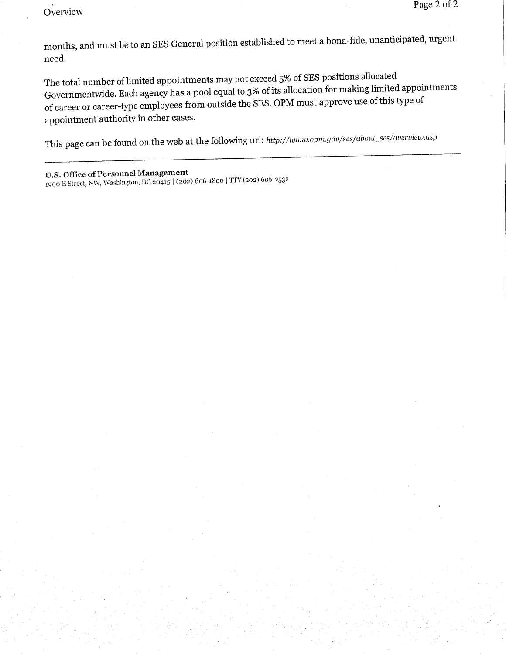Overview

months, and must be to an SES General position established to meet a bona-fide, unanticipated, urgent need.

The total number of limited appointments may not exceed 5% of SES positions allocated Governmentwde. Each agency has a pool equal to 3% of its allocation for making limited appointments of career or career-tye employees from outside the SES. OPM must approve use of this tye of appointment authority in other cases.

This page can be found on the web at the following url: http://www.opm.gov/ses/about\_ses/overview.asp

U.S. Office of Personnel Management 1900 E Street, NW, Washington, DC 20415 | (202) 606-1800 | TTY (202) 606-2532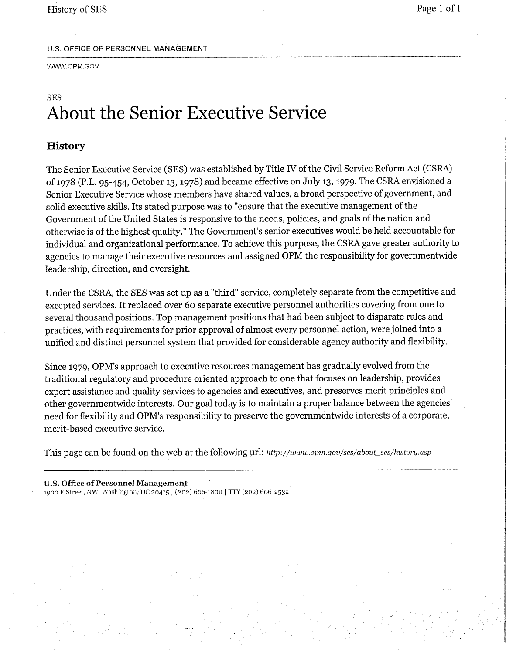#### U,S, OFFICE OF PERSONNEL MANAGEMENT

WWW.OPM.GOV

### SES About the Senior Executive Service

#### **History**

The Senior Executive Service (SES) was established by Title IV of the Civil Service Reform Act (CSRA) of 1978 (P.L. 95-454, October 13, 1978) and became effective on July 13,1979. The CSRA envisioned a Senior Executive Service whose members have shared values, a broad perspective of government, and solid executive skils. Its stated purpose was to "ensure that the executive management of the Government of the United States is responsive to the needs, policies, and goals of the nation and otherwse is of the highest quality." The Government's senior executives would be held accountable for individual and organizational performance. To achieve this purpose, the CSRA gave greater authority to agencies to manage their executive resources and assigned OPM the responsibilty for governmentwde leadership, direction, and oversight.

Under the CSRA, the SES was set up as a "third" service, completely separate from the competitive and excepted services. It replaced over 60 separate executive personnel authorities covering from one to several thousand positions. Top management positions that had been subject to disparate rules and practices, with requirements for prior approval of almost every personnel action, were joined into a unified and distinct personnel system that provided for considerable agency authority and flexibilty.

Since 1979, OPM's approach to executive resources management has gradually evolved from the traditional regulatory and procedure oriented approach to one that focuses on leadership, provides expert assistance and quality services to agencies and executives, and preserves merit principles and other governmentwde interests. Our goal today is to maintain a proper balance between the agencies' need for flexibilty and OPM's responsibilty to preserve the governmentwde interests of a corporate, merit-based executive service.

This page can be found on the web at the following url: http://www.opm.gov/ses/about\_ses/history.asp

U.s. Ottìcc of Personnel Management 1900 E Street, NW, Washington, DC 20415 | (202) 606-1800 | TTY (202) 606-2532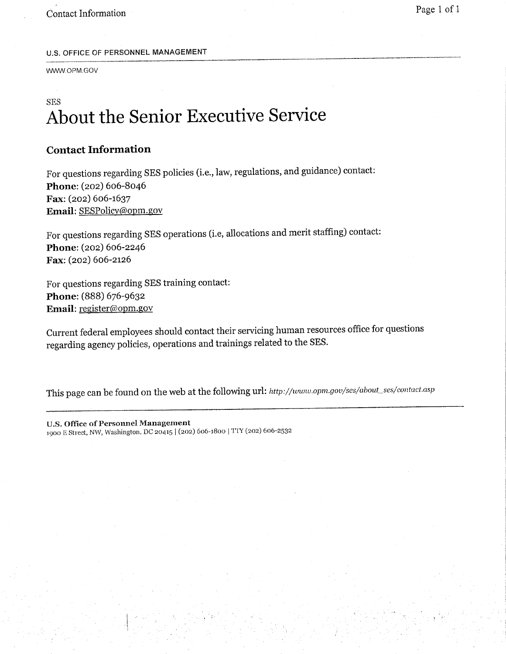#### U.S. OFFICE OF PERSONNEL MANAGEMENT

WWW.OPM.GOV

### SES About the Senior Executive Service

### Contact Information

For questions regarding SES policies (i.e., law, regulations, and guidance) contact: Phone: (202) 606-8046 Fax: (202) 606-1637 Email: SESPolicy(âopm.gov

For questions regarding SES operations (i.e, allocations and merit staffing) contact: Phone: (202) 606-2246 Fax: (202) 606-2126

For questions regarding SES training contact: Phone: (888) 676-9632 Email: register@opm.gov

Current federal employees should contact their servicing human resources office for questions regarding agency policies, operations and trainings related to the SES.

This page can be found on the web at the following url: http://www.opm.gov/ses/about\_ses/contact.asp

U.S. Office of Personnel Management 1900 E Street, NW, Washington, DC 20415 | (202) 606-1800 | TTY (202) 606-2532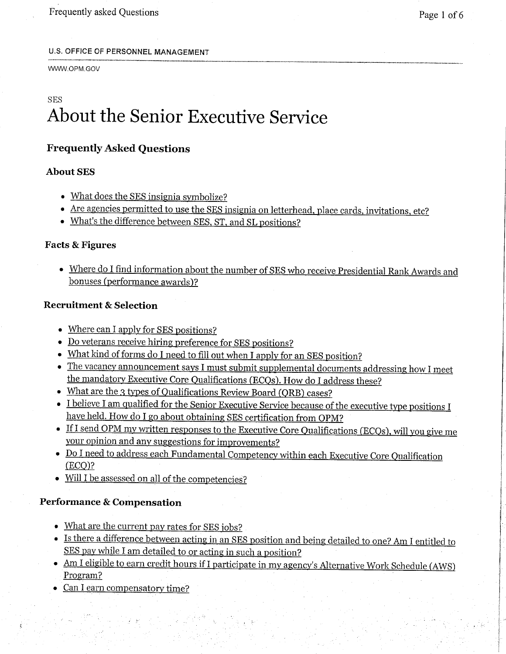#### U.S. OFFICE OF PERSONNEL MANAGEMENT

#### WWW.OPM.GOV

## SES About the Senior Executive Service

#### Frequently Asked Questions

#### **About SES**

- . What does the SES insignia symbolize?
- · Are agencies permitted to use the SES insignia on letterhead, place cards, invitations, etc?
- · What's the difference between SES, ST, and SL positions?

#### Facts & Figures

· Where do I find information about the number of SES who receive Presidential Rank Awards and bonuses (performance awards)?

#### Recruitment & Selection

- . Where can I apply for SES positions?
- · Do veterans receive hiring preference for SES positions?
- What kind of forms do I need to fill out when I apply for an SES position?
- · The vacancy announcement says I must submit supplemental documents addressing how I meet the mandatory Executive Core Qualifications (ECQs). How do I address these?
- What are the 3 types of Qualifications Review Board (QRB) cases?
- I believe I am qualified for the Senior Executive Service because of the executive type positions I have held. How do I go about obtaining SES certification from OPM?
- If I send OPM my written responses to the Executive Core Qualifications (ECQs), will you give me your opinion and any suggestions for improvements?
- · Do I need to address each Fundamental Competency within each Executive Core Qualification  $(ECO)?$
- . Wil I be assessed on all of the competencies?

#### Performance & Compensation

- What are the current pay rates for SES jobs?
- · Is there a difference between actingin an SES position and being detailed to one'? Am I entitled to SES pay while I am detailed to or acting in such a position?
- Am I eligible to earn credit hours if I participate in my agency's Alternative Work Schedule (AWS) Program?
- . Can I earn compensatory time?

" .~.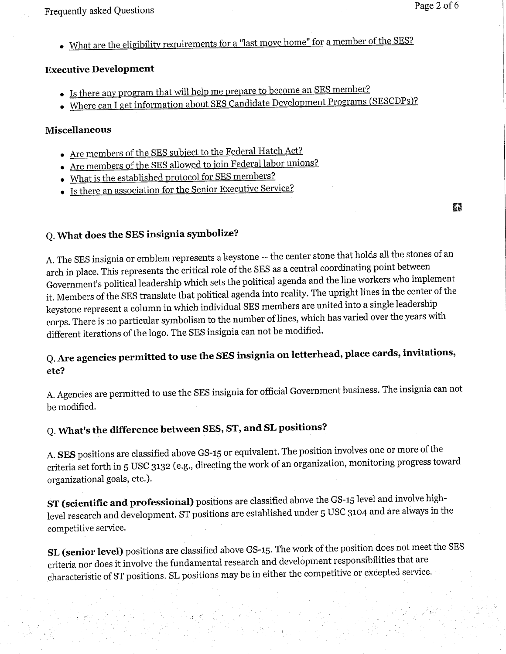. What are the eligibility requirements for a "last move home" for a member of the SES?

#### Executive Development

- . Is there any program that will help me prepare to become an SES member?
- . Where can I get information about SES Candidate Development Programs (SESCDPs)?

#### Miscellaneous

- . Are members of the SES subject to the Federal Hatch Act?
- . Are members of the SES allowed to join Federal labor unions?
- . What is the established protocol for SES members?
- . Is there an association for the Senior Executive Service?

o

### Q. What does the SES insignia symbolize?

A. The SES insignia or emblem represents a keystone -- the center stone that holds all the stones of an arch in place. This represents the critical role of the SES as a central coordinating point between Government's political leadership which sets the political agenda and the line workers who implement it. Members of the SES translate that political agenda into reality. The upright lines in the center of the keystone represent a column in which individual SES members are united into a single leadership corps. There is no particular symbolism to the number of lines, which has varied over the years with different iterations of the logo. The SES insignia can not be modified.

### Q. Are agencies permitted to use the SES insignia on letterhead, place cards, invitations, etc?

A. Agencies are permitted to use the SES insignia for official Government business. The insignia can not be modified.

### Q. What's the difference between SES, ST, and SL positions?

A. SES positions are classified above GS-15 or equivalent. The position involves one or more of the criteria set forth in 5 USC 3132 (e.g., directing the work of an organization, monitoring progress toward organizational goals, etc.).

ST (scientific and professional) positions are classified above the GS-15 level and involve highlevel research and development. ST positions are established under 5 USC 3104 and are always in the competitive service.

SL (senior level) positions are classified above GS-15. The work of the position does not meet the SES criteria nor does it involve the fundamental research and development responsibilties that are characteristic of ST positions. SL positions may be in either the competitive or excepted service.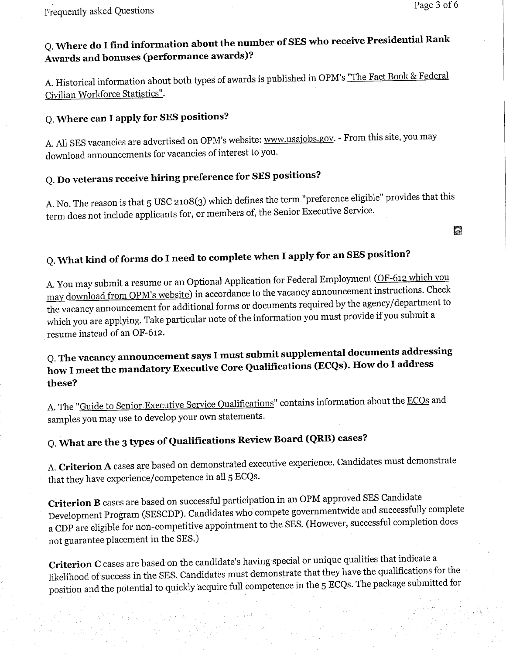### Q. Where do I find information about the number of SES who receive Presidential Rank Awards and bonuses (performance awards)?

A. Historical information about both types of awards is published in OPM's "The Fact Book & Federal Civilian Workforce Statistics".

### Q. Where can I apply for SES positions?

A. All SES vacancies are advertised on OPM's website: www.usajobs.gov. - From this site, you may download announcements for vacancies of interest to you.

## Q. Do veterans receive hiring preference for SES positions?

A. No. The reason is that 5 USC 2108(3) which defines the term "preference eligible" provides that this term does not include applicants for, or members of, the Senior Executive Service.

## Q. What kind of forms do I need to complete when I apply for an SES position?

A. You may submit a resume or an Optional Application for Federal Employment (OF-612 which you may download from OPM's website) in accordance to the vacancy announcement instructions. Check the vacancy announcement for additional forms or documents required by the agency/department to which you are applying. Take particular note of the information you must provide if you submit a resume instead of an OF-612.

### Q. The vacancy announcement says I must submit supplemental documents addressing how I meet the mandatory Executive Core Qualifications (ECQs). How do I address these?

A. The "Guide to Senior Executive Service Qualifications" contains information about the ECQs and samples you may use to develop your own statements.

### Q. What are the 3 tyes of Qualifications Review Board (QRB) cases?

A. Criterion A cases are based on demonstrated executive experience. Candidates must demonstrate that they have experience/competence in all 5 ECQs.

Criterion B cases are based on successful participation in an OPM approved SES Candidate Development Program (SESCDP). Candidates who compete governmentwde and successfully complete a CDP are eligible for non-competitive appointment to the SES. (However, successful completion does not guarantee placement in the SES.)

Criterion C cases are based on the candidate's having special or unique qualities that indicate a likelihood of success in the SES. Candidates must demonstrate that they have the qualifications for the position and the potential to quickly acquire full competence in the 5 ECQs. The package submitted for

Ð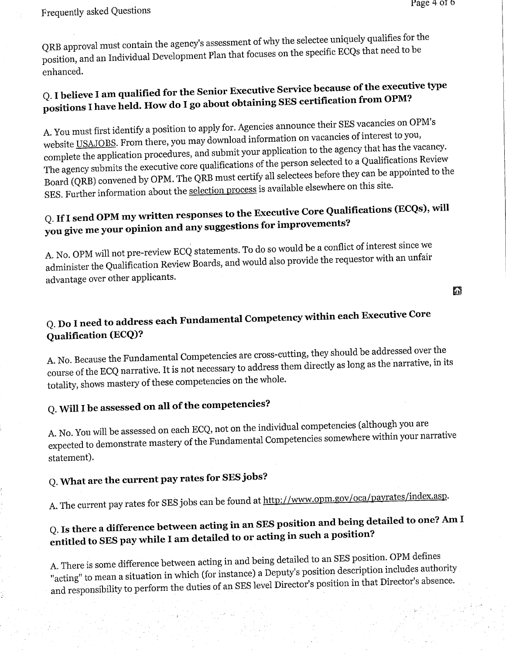QRB approval must contain the agency's assessment of why when the specific ECOs that need to be position, and an Individual Development Plan that focuses on the specific EQQs that  $\epsilon$ enhanced.

### $Q$ . I believe I am qualified for the Senior Executive Server of the executive type of the executive type  $\alpha$ positions I have held. How do I go about obtaining SES certification from  $P$

A. You must first identify a position to apply for. Agencies announce their SES vacancies on OPM's website  $\underline{\text{Ob}}$   $\underline{\text{Ob}}$ . From the vacancies of vacancies of vacancies of vacancies of vacancies of vacancies of vacancies of vacancies of vacancies of vacancies of vacancies of vacancies of vacancies of vacancies of interest to you, complete the application procedures, and submit your applications of the vacancy of the agency to a Oualifications Review. The agency submits the executive core qualifications of the person before they can be appointed to the person selections  $\mathbb{R}^n$ Board (QRB) convened by OPM. The QRB must certify all selectees before they can be appointed to the SES. Further information about the selection process is available elsewhere on this site.

## Q. If I send OPM my written responses to the Executive Core Qualifications (ECQs), will you give me your opinion and any suggestions for improvements?

A. No. OPM will not pre-review ECQ statements. To do so women to the requestor with an unfair administer the Qualification Review Boards, and would disc provide the requestor with an unital requestor with a advantage over other applicants.

Ð

### Q. Do I need to address each Fundamental Competency within each Executive Core Qualification (ECQ)?

A. No. Because the Fundamental Competencies are cross-cutting, they should be addressed over the course of the ECQ narrative. It is not necessary to a long as  $\frac{1}{2}$ narrative, in its totality, shows mastery of these competencies on the whole.

### Q. Will I be assessed on all of the competencies?

A. No. You will be assessed on each ECQ, not on the individual competencies (although you are expected to demonstrate mastery of the Fundamental Competencies somewhere within your narrative statement).

### Q. What are the current pay rates for SES jobs?

A. The current pay rates for SES jobs can be found at http://www.opm.gov/oca/payrates/index.asp.

## Q. Is there a difference between acting in an SES position and being detailed to one? Am I entitled to SES pay while I am detailed to or acting in such a position?

A. There is some difference between acting in and being detailed to an SES position. OPM defines "acting" to mean a situation in which (for instance) a Deputy's position in that Director's absence. and responsibility to perform the duties of an SES level Director's position in the Director's position in the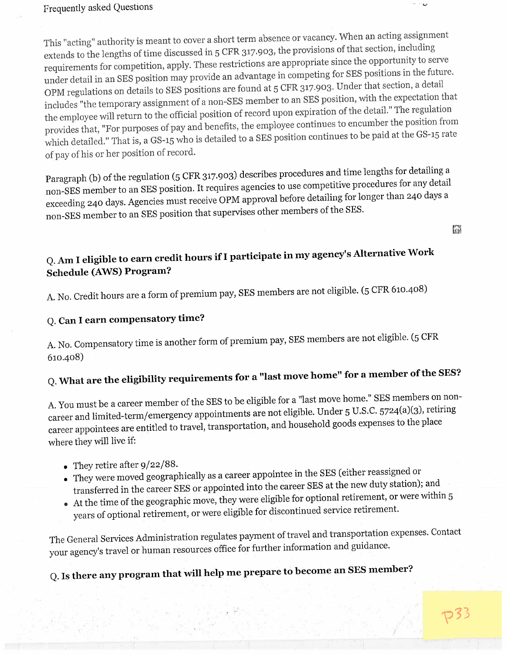#### Frequently asked Questions

This "acting" authority is meant to cover a short term absence or vacancy. When an acting assignment extends to the lengths of time discussed in 5 CFR 317.903, the provisions of that section, including<br>integrated propriative to set requirements for competition, apply. These restrictions are appropriate since the opportunity to serve OPM regulations on details to SES positions are found at 5 CFR 317.903. Under that section, a detail includes "the temporary assignment of a non-SES member to an SES position, with the expectation that the employee will return to the official position of record upon expiration of the detail." The regulation provides that, "For purposes of pay and benefits, the employee continues to encumber the position from provides that, "For purposes of pay and benefits, the employee continuous to be paid at the GS-15 rate which detailed." That is, a GS-15 who is detailed to a SES position continues to be paid at the  $\frac{1}{2}$ of pay of his or her position of record.

Paragraph (b) of the regulation (5 CFR 317.903) describes procedures and time lengths for detailing a<br>non-SES member to an SES position. It requires agencies to use competitive procedures for any detail non-SES member to an SES position. It requires agencies to use competitive for longer than 240 days a  $exceeding 240 days. Agencies must receive OF M approach before  $\frac{1}{2}$  before detailing  $\frac{1}{2}$$ non-SES member to an SES position that supervises other members of the SES.

in

 $-$ 

### Q. Am I eligible to earn credit hours if I participate in my agency's Alternative Work Schedule (AWS) Program?

A. No. Credit hours are a form of premium pay, SES members are not engible. (5 CFR 610.400)

### Q. Can I earn compensatory time?

 $\mathcal{L}$  which are the eligibility requirements for a member of a member of a member of a member of a member of a member of a member of a member of a member of a member of a member of a member of a member of a member of a

A. No. Compensatory time is another form of premium pay, SES members are not eligible. (5 CFR 610-408)

### the SES?

A. You must be a career member of the SES to be eligible for a "last move home." SES members on noncareer and limited-term/emergency appointments are not eligible. Under 5 U.S.C. S724(a)(3), retiring career appointees are entitled to travel, transportation, and household goods expenses to the place where they will live if:

- . They retire after 9/22/88.
- . They were moved geographically as a career appointee in the SES (either reassigned or transferred in the career SES or appointed into the career SES at the new duty state of
- $\bullet$  At the time of the geographic move, they were eligible for optional retreated  $\bullet$ years of optional retirement, or were eligible for discontinued service retirement.

The General Services Administration regulates payment of travel and transportation expenses. Contact your agency's travel or human resources office for further information and guidance.

Q. Is there any program that will help me prepare to become an SES member?